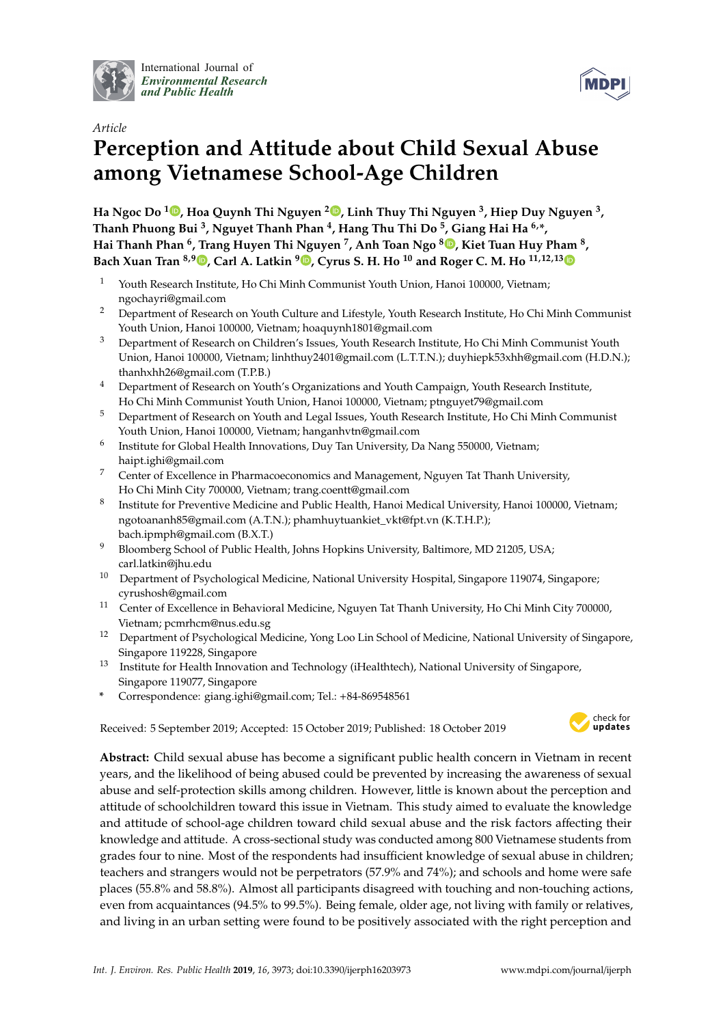

International Journal of *[Environmental Research](http://www.mdpi.com/journal/ijerph) and Public Health*



# *Article* **Perception and Attitude about Child Sexual Abuse among Vietnamese School-Age Children**

**Ha Ngoc Do <sup>1</sup> [,](https://orcid.org/0000-0002-1975-529X) Hoa Quynh Thi Nguyen <sup>2</sup> [,](https://orcid.org/0000-0003-4570-2535) Linh Thuy Thi Nguyen <sup>3</sup> , Hiep Duy Nguyen <sup>3</sup> , Thanh Phuong Bui <sup>3</sup> , Nguyet Thanh Phan <sup>4</sup> , Hang Thu Thi Do <sup>5</sup> , Giang Hai Ha 6,\*, Hai Thanh Phan <sup>6</sup> , Trang Huyen Thi Nguyen <sup>7</sup> , Anh Toan Ngo <sup>8</sup> [,](https://orcid.org/0000-0002-3386-218X) Kiet Tuan Huy Pham <sup>8</sup> , Bach Xuan Tran 8,[9](https://orcid.org/0000-0001-7827-8449) , Carl A. Latkin <sup>9</sup> [,](https://orcid.org/0000-0002-7931-2116) Cyrus S. H. Ho <sup>10</sup> and Roger C. M. Ho 11,12,1[3](https://orcid.org/0000-0001-9629-4493)**

- <sup>1</sup> Youth Research Institute, Ho Chi Minh Communist Youth Union, Hanoi 100000, Vietnam; ngochayri@gmail.com
- <sup>2</sup> Department of Research on Youth Culture and Lifestyle, Youth Research Institute, Ho Chi Minh Communist Youth Union, Hanoi 100000, Vietnam; hoaquynh1801@gmail.com
- <sup>3</sup> Department of Research on Children's Issues, Youth Research Institute, Ho Chi Minh Communist Youth Union, Hanoi 100000, Vietnam; linhthuy2401@gmail.com (L.T.T.N.); duyhiepk53xhh@gmail.com (H.D.N.); thanhxhh26@gmail.com (T.P.B.)
- <sup>4</sup> Department of Research on Youth's Organizations and Youth Campaign, Youth Research Institute, Ho Chi Minh Communist Youth Union, Hanoi 100000, Vietnam; ptnguyet79@gmail.com
- <sup>5</sup> Department of Research on Youth and Legal Issues, Youth Research Institute, Ho Chi Minh Communist Youth Union, Hanoi 100000, Vietnam; hanganhvtn@gmail.com
- 6 Institute for Global Health Innovations, Duy Tan University, Da Nang 550000, Vietnam; haipt.ighi@gmail.com
- <sup>7</sup> Center of Excellence in Pharmacoeconomics and Management, Nguyen Tat Thanh University, Ho Chi Minh City 700000, Vietnam; trang.coentt@gmail.com
- 8 Institute for Preventive Medicine and Public Health, Hanoi Medical University, Hanoi 100000, Vietnam; ngotoananh85@gmail.com (A.T.N.); phamhuytuankiet\_vkt@fpt.vn (K.T.H.P.); bach.ipmph@gmail.com (B.X.T.)
- <sup>9</sup> Bloomberg School of Public Health, Johns Hopkins University, Baltimore, MD 21205, USA; carl.latkin@jhu.edu
- <sup>10</sup> Department of Psychological Medicine, National University Hospital, Singapore 119074, Singapore; cyrushosh@gmail.com
- <sup>11</sup> Center of Excellence in Behavioral Medicine, Nguyen Tat Thanh University, Ho Chi Minh City 700000, Vietnam; pcmrhcm@nus.edu.sg
- <sup>12</sup> Department of Psychological Medicine, Yong Loo Lin School of Medicine, National University of Singapore, Singapore 119228, Singapore
- <sup>13</sup> Institute for Health Innovation and Technology (iHealthtech), National University of Singapore, Singapore 119077, Singapore
- **\*** Correspondence: giang.ighi@gmail.com; Tel.: +84-869548561

Received: 5 September 2019; Accepted: 15 October 2019; Published: 18 October 2019



**Abstract:** Child sexual abuse has become a significant public health concern in Vietnam in recent years, and the likelihood of being abused could be prevented by increasing the awareness of sexual abuse and self-protection skills among children. However, little is known about the perception and attitude of schoolchildren toward this issue in Vietnam. This study aimed to evaluate the knowledge and attitude of school-age children toward child sexual abuse and the risk factors affecting their knowledge and attitude. A cross-sectional study was conducted among 800 Vietnamese students from grades four to nine. Most of the respondents had insufficient knowledge of sexual abuse in children; teachers and strangers would not be perpetrators (57.9% and 74%); and schools and home were safe places (55.8% and 58.8%). Almost all participants disagreed with touching and non-touching actions, even from acquaintances (94.5% to 99.5%). Being female, older age, not living with family or relatives, and living in an urban setting were found to be positively associated with the right perception and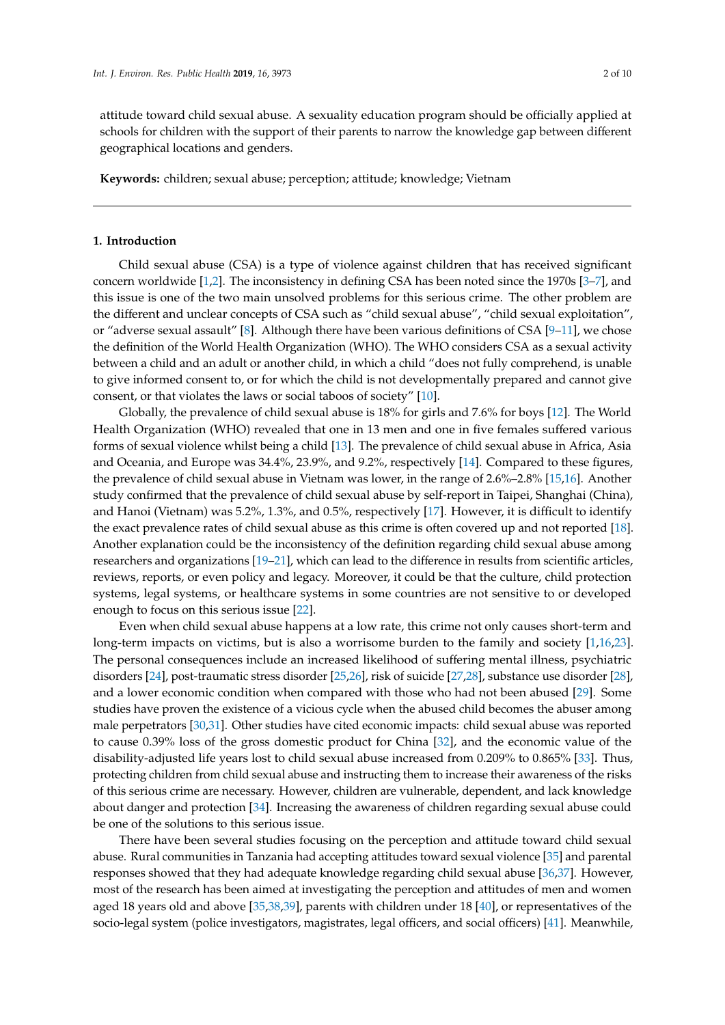attitude toward child sexual abuse. A sexuality education program should be officially applied at schools for children with the support of their parents to narrow the knowledge gap between different geographical locations and genders.

**Keywords:** children; sexual abuse; perception; attitude; knowledge; Vietnam

## **1. Introduction**

Child sexual abuse (CSA) is a type of violence against children that has received significant concern worldwide [\[1](#page-6-0)[,2\]](#page-6-1). The inconsistency in defining CSA has been noted since the 1970s [\[3–](#page-6-2)[7\]](#page-7-0), and this issue is one of the two main unsolved problems for this serious crime. The other problem are the different and unclear concepts of CSA such as "child sexual abuse", "child sexual exploitation", or "adverse sexual assault" [\[8\]](#page-7-1). Although there have been various definitions of CSA [\[9–](#page-7-2)[11\]](#page-7-3), we chose the definition of the World Health Organization (WHO). The WHO considers CSA as a sexual activity between a child and an adult or another child, in which a child "does not fully comprehend, is unable to give informed consent to, or for which the child is not developmentally prepared and cannot give consent, or that violates the laws or social taboos of society" [\[10\]](#page-7-4).

Globally, the prevalence of child sexual abuse is 18% for girls and 7.6% for boys [\[12\]](#page-7-5). The World Health Organization (WHO) revealed that one in 13 men and one in five females suffered various forms of sexual violence whilst being a child [\[13\]](#page-7-6). The prevalence of child sexual abuse in Africa, Asia and Oceania, and Europe was 34.4%, 23.9%, and 9.2%, respectively [\[14\]](#page-7-7). Compared to these figures, the prevalence of child sexual abuse in Vietnam was lower, in the range of 2.6%–2.8% [\[15,](#page-7-8)[16\]](#page-7-9). Another study confirmed that the prevalence of child sexual abuse by self-report in Taipei, Shanghai (China), and Hanoi (Vietnam) was 5.2%, 1.3%, and 0.5%, respectively [\[17\]](#page-7-10). However, it is difficult to identify the exact prevalence rates of child sexual abuse as this crime is often covered up and not reported [\[18\]](#page-7-11). Another explanation could be the inconsistency of the definition regarding child sexual abuse among researchers and organizations [\[19](#page-7-12)[–21\]](#page-7-13), which can lead to the difference in results from scientific articles, reviews, reports, or even policy and legacy. Moreover, it could be that the culture, child protection systems, legal systems, or healthcare systems in some countries are not sensitive to or developed enough to focus on this serious issue [\[22\]](#page-7-14).

Even when child sexual abuse happens at a low rate, this crime not only causes short-term and long-term impacts on victims, but is also a worrisome burden to the family and society [\[1,](#page-6-0)[16,](#page-7-9)[23\]](#page-7-15). The personal consequences include an increased likelihood of suffering mental illness, psychiatric disorders [\[24\]](#page-7-16), post-traumatic stress disorder [\[25](#page-7-17)[,26\]](#page-7-18), risk of suicide [\[27](#page-7-19)[,28\]](#page-7-20), substance use disorder [\[28\]](#page-7-20), and a lower economic condition when compared with those who had not been abused [\[29\]](#page-8-0). Some studies have proven the existence of a vicious cycle when the abused child becomes the abuser among male perpetrators [\[30](#page-8-1)[,31\]](#page-8-2). Other studies have cited economic impacts: child sexual abuse was reported to cause 0.39% loss of the gross domestic product for China [\[32\]](#page-8-3), and the economic value of the disability-adjusted life years lost to child sexual abuse increased from 0.209% to 0.865% [\[33\]](#page-8-4). Thus, protecting children from child sexual abuse and instructing them to increase their awareness of the risks of this serious crime are necessary. However, children are vulnerable, dependent, and lack knowledge about danger and protection [\[34\]](#page-8-5). Increasing the awareness of children regarding sexual abuse could be one of the solutions to this serious issue.

There have been several studies focusing on the perception and attitude toward child sexual abuse. Rural communities in Tanzania had accepting attitudes toward sexual violence [\[35\]](#page-8-6) and parental responses showed that they had adequate knowledge regarding child sexual abuse [\[36,](#page-8-7)[37\]](#page-8-8). However, most of the research has been aimed at investigating the perception and attitudes of men and women aged 18 years old and above [\[35](#page-8-6)[,38](#page-8-9)[,39\]](#page-8-10), parents with children under 18 [\[40\]](#page-8-11), or representatives of the socio-legal system (police investigators, magistrates, legal officers, and social officers) [\[41\]](#page-8-12). Meanwhile,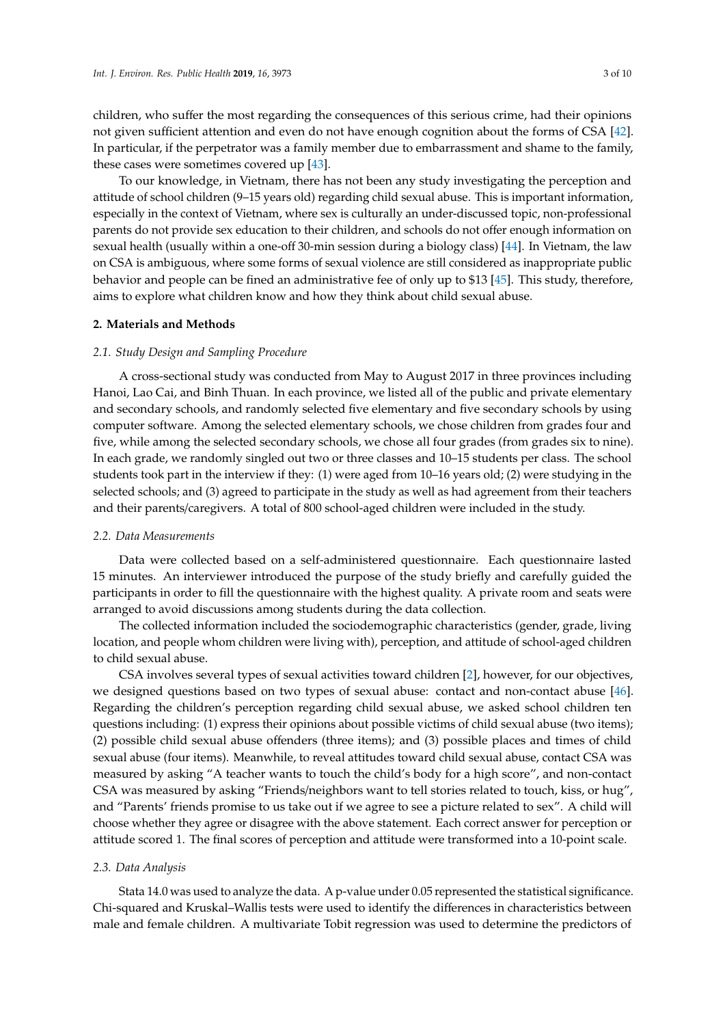children, who suffer the most regarding the consequences of this serious crime, had their opinions not given sufficient attention and even do not have enough cognition about the forms of CSA [\[42\]](#page-8-13). In particular, if the perpetrator was a family member due to embarrassment and shame to the family, these cases were sometimes covered up [\[43\]](#page-8-14).

To our knowledge, in Vietnam, there has not been any study investigating the perception and attitude of school children (9–15 years old) regarding child sexual abuse. This is important information, especially in the context of Vietnam, where sex is culturally an under-discussed topic, non-professional parents do not provide sex education to their children, and schools do not offer enough information on sexual health (usually within a one-off 30-min session during a biology class) [\[44\]](#page-8-15). In Vietnam, the law on CSA is ambiguous, where some forms of sexual violence are still considered as inappropriate public behavior and people can be fined an administrative fee of only up to \$13 [\[45\]](#page-8-16). This study, therefore, aims to explore what children know and how they think about child sexual abuse.

## **2. Materials and Methods**

## *2.1. Study Design and Sampling Procedure*

A cross-sectional study was conducted from May to August 2017 in three provinces including Hanoi, Lao Cai, and Binh Thuan. In each province, we listed all of the public and private elementary and secondary schools, and randomly selected five elementary and five secondary schools by using computer software. Among the selected elementary schools, we chose children from grades four and five, while among the selected secondary schools, we chose all four grades (from grades six to nine). In each grade, we randomly singled out two or three classes and 10–15 students per class. The school students took part in the interview if they: (1) were aged from 10–16 years old; (2) were studying in the selected schools; and (3) agreed to participate in the study as well as had agreement from their teachers and their parents/caregivers. A total of 800 school-aged children were included in the study.

#### *2.2. Data Measurements*

Data were collected based on a self-administered questionnaire. Each questionnaire lasted 15 minutes. An interviewer introduced the purpose of the study briefly and carefully guided the participants in order to fill the questionnaire with the highest quality. A private room and seats were arranged to avoid discussions among students during the data collection.

The collected information included the sociodemographic characteristics (gender, grade, living location, and people whom children were living with), perception, and attitude of school-aged children to child sexual abuse.

CSA involves several types of sexual activities toward children [\[2\]](#page-6-1), however, for our objectives, we designed questions based on two types of sexual abuse: contact and non-contact abuse [\[46\]](#page-8-17). Regarding the children's perception regarding child sexual abuse, we asked school children ten questions including: (1) express their opinions about possible victims of child sexual abuse (two items); (2) possible child sexual abuse offenders (three items); and (3) possible places and times of child sexual abuse (four items). Meanwhile, to reveal attitudes toward child sexual abuse, contact CSA was measured by asking "A teacher wants to touch the child's body for a high score", and non-contact CSA was measured by asking "Friends/neighbors want to tell stories related to touch, kiss, or hug", and "Parents' friends promise to us take out if we agree to see a picture related to sex". A child will choose whether they agree or disagree with the above statement. Each correct answer for perception or attitude scored 1. The final scores of perception and attitude were transformed into a 10-point scale.

#### *2.3. Data Analysis*

Stata 14.0 was used to analyze the data. A p-value under 0.05 represented the statistical significance. Chi-squared and Kruskal–Wallis tests were used to identify the differences in characteristics between male and female children. A multivariate Tobit regression was used to determine the predictors of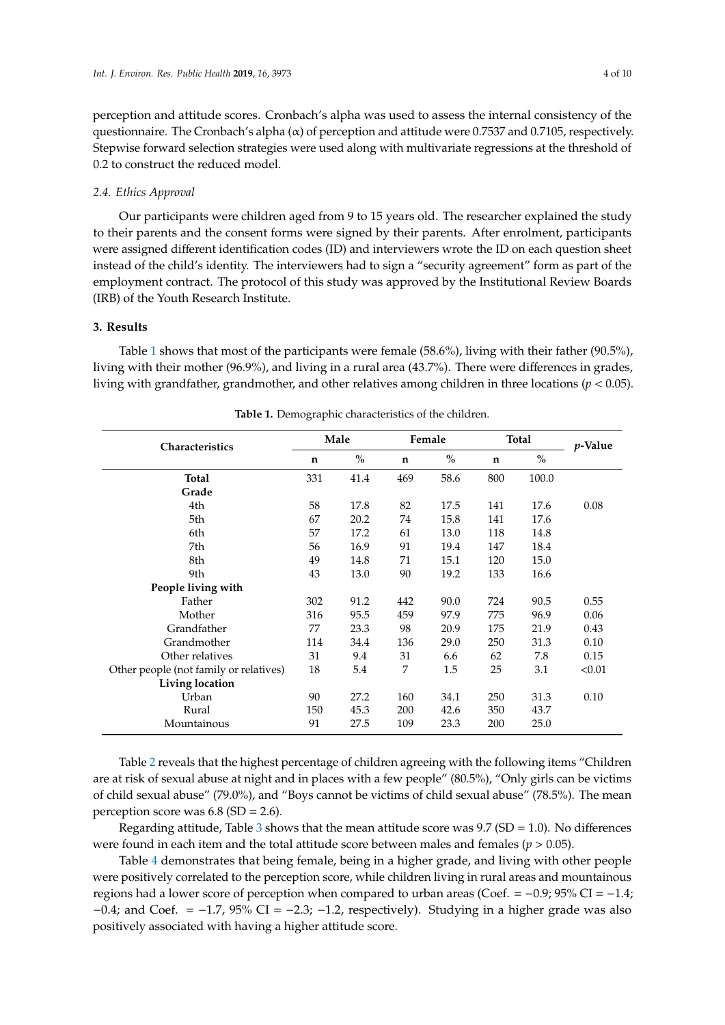perception and attitude scores. Cronbach's alpha was used to assess the internal consistency of the questionnaire. The Cronbach's alpha  $(\alpha)$  of perception and attitude were 0.7537 and 0.7105, respectively. Stepwise forward selection strategies were used along with multivariate regressions at the threshold of 0.2 to construct the reduced model.

# *2.4. Ethics Approval*

Our participants were children aged from 9 to 15 years old. The researcher explained the study to their parents and the consent forms were signed by their parents. After enrolment, participants were assigned different identification codes (ID) and interviewers wrote the ID on each question sheet instead of the child's identity. The interviewers had to sign a "security agreement" form as part of the employment contract. The protocol of this study was approved by the Institutional Review Boards (IRB) of the Youth Research Institute.

## **3. Results**

Table [1](#page-3-0) shows that most of the participants were female (58.6%), living with their father (90.5%), living with their mother (96.9%), and living in a rural area (43.7%). There were differences in grades, living with grandfather, grandmother, and other relatives among children in three locations (*p* < 0.05).

<span id="page-3-0"></span>

| Characteristics                        | Male |      | Female |      | Total |       | $p$ -Value |
|----------------------------------------|------|------|--------|------|-------|-------|------------|
|                                        | n    | $\%$ | n      | $\%$ | n     | $\%$  |            |
| Total                                  | 331  | 41.4 | 469    | 58.6 | 800   | 100.0 |            |
| Grade                                  |      |      |        |      |       |       |            |
| 4th                                    | 58   | 17.8 | 82     | 17.5 | 141   | 17.6  | 0.08       |
| 5th                                    | 67   | 20.2 | 74     | 15.8 | 141   | 17.6  |            |
| 6th                                    | 57   | 17.2 | 61     | 13.0 | 118   | 14.8  |            |
| 7th                                    | 56   | 16.9 | 91     | 19.4 | 147   | 18.4  |            |
| 8th                                    | 49   | 14.8 | 71     | 15.1 | 120   | 15.0  |            |
| 9th                                    | 43   | 13.0 | 90     | 19.2 | 133   | 16.6  |            |
| People living with                     |      |      |        |      |       |       |            |
| Father                                 | 302  | 91.2 | 442    | 90.0 | 724   | 90.5  | 0.55       |
| Mother                                 | 316  | 95.5 | 459    | 97.9 | 775   | 96.9  | 0.06       |
| Grandfather                            | 77   | 23.3 | 98     | 20.9 | 175   | 21.9  | 0.43       |
| Grandmother                            | 114  | 34.4 | 136    | 29.0 | 250   | 31.3  | 0.10       |
| Other relatives                        | 31   | 9.4  | 31     | 6.6  | 62    | 7.8   | 0.15       |
| Other people (not family or relatives) | 18   | 5.4  | 7      | 1.5  | 25    | 3.1   | < 0.01     |
| <b>Living location</b>                 |      |      |        |      |       |       |            |
| Urban                                  | 90   | 27.2 | 160    | 34.1 | 250   | 31.3  | 0.10       |
| Rural                                  | 150  | 45.3 | 200    | 42.6 | 350   | 43.7  |            |
| Mountainous                            | 91   | 27.5 | 109    | 23.3 | 200   | 25.0  |            |

**Table 1.** Demographic characteristics of the children.

Table [2](#page-4-0) reveals that the highest percentage of children agreeing with the following items "Children are at risk of sexual abuse at night and in places with a few people" (80.5%), "Only girls can be victims of child sexual abuse" (79.0%), and "Boys cannot be victims of child sexual abuse" (78.5%). The mean perception score was  $6.8$  (SD = 2.6).

Regarding attitude, Table [3](#page-4-1) shows that the mean attitude score was  $9.7$  (SD = 1.0). No differences were found in each item and the total attitude score between males and females ( $p > 0.05$ ).

Table [4](#page-4-2) demonstrates that being female, being in a higher grade, and living with other people were positively correlated to the perception score, while children living in rural areas and mountainous regions had a lower score of perception when compared to urban areas (Coef. = −0.9; 95% CI = −1.4;  $-0.4$ ; and Coef. =  $-1.7$ , 95% CI =  $-2.3$ ;  $-1.2$ , respectively). Studying in a higher grade was also positively associated with having a higher attitude score.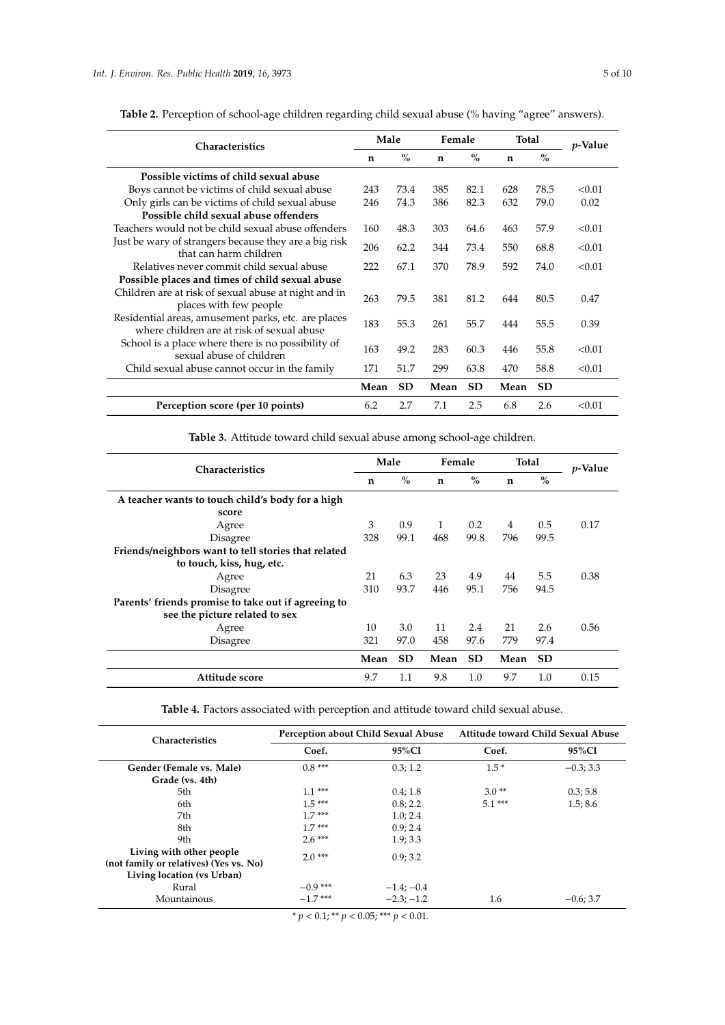| <b>Characteristics</b>                                                                            |      | Male          |      | Female        |      | Total     | <i>v</i> -Value |
|---------------------------------------------------------------------------------------------------|------|---------------|------|---------------|------|-----------|-----------------|
|                                                                                                   |      | $\frac{0}{0}$ | n    | $\frac{0}{0}$ | n    | $\%$      |                 |
| Possible victims of child sexual abuse                                                            |      |               |      |               |      |           |                 |
| Boys cannot be victims of child sexual abuse                                                      | 243  | 73.4          | 385  | 82.1          | 628  | 78.5      | < 0.01          |
| Only girls can be victims of child sexual abuse                                                   | 246  | 74.3          | 386  | 82.3          | 632  | 79.0      | 0.02            |
| Possible child sexual abuse offenders                                                             |      |               |      |               |      |           |                 |
| Teachers would not be child sexual abuse offenders                                                | 160  | 48.3          | 303  | 64.6          | 463  | 57.9      | < 0.01          |
| Just be wary of strangers because they are a big risk<br>that can harm children                   | 206  | 62.2          | 344  | 73.4          | 550  | 68.8      | < 0.01          |
| Relatives never commit child sexual abuse                                                         | 222  | 67.1          | 370  | 78.9          | 592  | 74.0      | < 0.01          |
| Possible places and times of child sexual abuse                                                   |      |               |      |               |      |           |                 |
| Children are at risk of sexual abuse at night and in<br>places with few people                    | 263  | 79.5          | 381  | 81.2          | 644  | 80.5      | 0.47            |
| Residential areas, amusement parks, etc. are places<br>where children are at risk of sexual abuse | 183  | 55.3          | 261  | 55.7          | 444  | 55.5      | 0.39            |
| School is a place where there is no possibility of<br>sexual abuse of children                    | 163  | 49.2          | 283  | 60.3          | 446  | 55.8      | < 0.01          |
| Child sexual abuse cannot occur in the family                                                     | 171  | 51.7          | 299  | 63.8          | 470  | 58.8      | < 0.01          |
|                                                                                                   | Mean | <b>SD</b>     | Mean | <b>SD</b>     | Mean | <b>SD</b> |                 |
| Perception score (per 10 points)                                                                  | 6.2  | 2.7           | 7.1  | 2.5           | 6.8  | 2.6       | < 0.01          |

<span id="page-4-0"></span>**Table 2.** Perception of school-age children regarding child sexual abuse (% having "agree" answers).

**Table 3.** Attitude toward child sexual abuse among school-age children.

<span id="page-4-1"></span>

| <b>Characteristics</b>                              | Male |               | Female       |           | <b>Total</b> |           | <i>p</i> -Value |
|-----------------------------------------------------|------|---------------|--------------|-----------|--------------|-----------|-----------------|
|                                                     |      | $\frac{0}{0}$ | n            | $\%$      | $\mathbf n$  | $\%$      |                 |
| A teacher wants to touch child's body for a high    |      |               |              |           |              |           |                 |
| score                                               |      |               |              |           |              |           |                 |
| Agree                                               | 3    | 0.9           | $\mathbf{1}$ | 0.2       | 4            | 0.5       | 0.17            |
| <b>Disagree</b>                                     | 328  | 99.1          | 468          | 99.8      | 796          | 99.5      |                 |
| Friends/neighbors want to tell stories that related |      |               |              |           |              |           |                 |
| to touch, kiss, hug, etc.                           |      |               |              |           |              |           |                 |
| Agree                                               | 21   | 6.3           | 23           | 4.9       | 44           | 5.5       | 0.38            |
| <b>Disagree</b>                                     | 310  | 93.7          | 446          | 95.1      | 756          | 94.5      |                 |
| Parents' friends promise to take out if agreeing to |      |               |              |           |              |           |                 |
| see the picture related to sex                      |      |               |              |           |              |           |                 |
| Agree                                               | 10   | 3.0           | 11           | 2.4       | 21           | 2.6       | 0.56            |
| <b>Disagree</b>                                     | 321  | 97.0          | 458          | 97.6      | 779          | 97.4      |                 |
|                                                     | Mean | <b>SD</b>     | Mean         | <b>SD</b> | Mean         | <b>SD</b> |                 |
| Attitude score                                      | 9.7  | $1.1\,$       | 9.8          | 1.0       | 9.7          | 1.0       | 0.15            |

**Table 4.** Factors associated with perception and attitude toward child sexual abuse.

<span id="page-4-2"></span>

| <b>Characteristics</b>                                             |            | Perception about Child Sexual Abuse | Attitude toward Child Sexual Abuse |             |  |  |
|--------------------------------------------------------------------|------------|-------------------------------------|------------------------------------|-------------|--|--|
|                                                                    | Coef.      | 95%CI                               | Coef.                              | 95%CI       |  |  |
| Gender (Female vs. Male)                                           | $0.8***$   | 0.3; 1.2                            | $1.5*$                             | $-0.3:3.3$  |  |  |
| Grade (vs. 4th)                                                    |            |                                     |                                    |             |  |  |
| 5th                                                                | $1.1***$   | 0.4; 1.8                            | $3.0**$                            | 0.3; 5.8    |  |  |
| 6th                                                                | $1.5***$   | 0.8:2.2                             | $5.1***$                           | 1.5:8.6     |  |  |
| 7th                                                                | $1.7***$   | 1.0; 2.4                            |                                    |             |  |  |
| 8th                                                                | $1.7***$   | 0.9:2.4                             |                                    |             |  |  |
| 9th                                                                | $2.6***$   | 1.9; 3.3                            |                                    |             |  |  |
| Living with other people<br>(not family or relatives) (Yes vs. No) | $2.0***$   | 0.9:3.2                             |                                    |             |  |  |
| Living location (vs Urban)                                         |            |                                     |                                    |             |  |  |
| Rural                                                              | $-0.9***$  | $-1.4; -0.4$                        |                                    |             |  |  |
| Mountainous                                                        | $-1.7$ *** | $-2.3; -1.2$                        | 1.6                                | $-0.6; 3.7$ |  |  |

 $* p < 0.1; ** p < 0.05; ** p < 0.01.$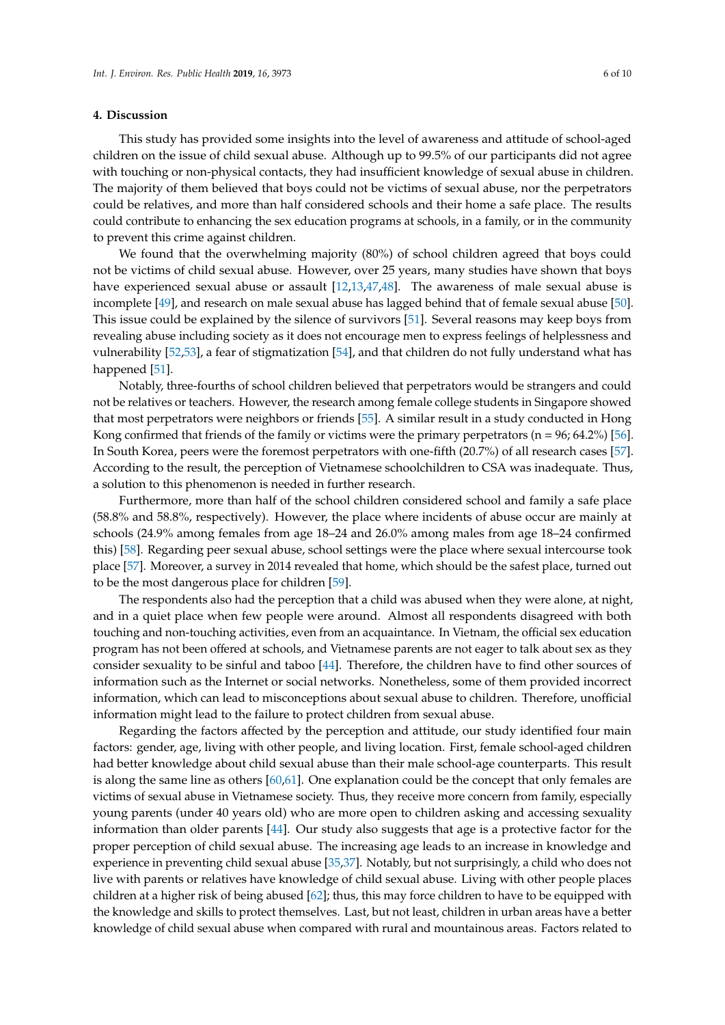## **4. Discussion**

This study has provided some insights into the level of awareness and attitude of school-aged children on the issue of child sexual abuse. Although up to 99.5% of our participants did not agree with touching or non-physical contacts, they had insufficient knowledge of sexual abuse in children. The majority of them believed that boys could not be victims of sexual abuse, nor the perpetrators could be relatives, and more than half considered schools and their home a safe place. The results could contribute to enhancing the sex education programs at schools, in a family, or in the community to prevent this crime against children.

We found that the overwhelming majority (80%) of school children agreed that boys could not be victims of child sexual abuse. However, over 25 years, many studies have shown that boys have experienced sexual abuse or assault [\[12](#page-7-5)[,13](#page-7-6)[,47](#page-8-18)[,48\]](#page-8-19). The awareness of male sexual abuse is incomplete [\[49\]](#page-8-20), and research on male sexual abuse has lagged behind that of female sexual abuse [\[50\]](#page-8-21). This issue could be explained by the silence of survivors [\[51\]](#page-8-22). Several reasons may keep boys from revealing abuse including society as it does not encourage men to express feelings of helplessness and vulnerability [\[52,](#page-9-0)[53\]](#page-9-1), a fear of stigmatization [\[54\]](#page-9-2), and that children do not fully understand what has happened [\[51\]](#page-8-22).

Notably, three-fourths of school children believed that perpetrators would be strangers and could not be relatives or teachers. However, the research among female college students in Singapore showed that most perpetrators were neighbors or friends [\[55\]](#page-9-3). A similar result in a study conducted in Hong Kong confirmed that friends of the family or victims were the primary perpetrators ( $n = 96$ ; 64.2%) [\[56\]](#page-9-4). In South Korea, peers were the foremost perpetrators with one-fifth (20.7%) of all research cases [\[57\]](#page-9-5). According to the result, the perception of Vietnamese schoolchildren to CSA was inadequate. Thus, a solution to this phenomenon is needed in further research.

Furthermore, more than half of the school children considered school and family a safe place (58.8% and 58.8%, respectively). However, the place where incidents of abuse occur are mainly at schools (24.9% among females from age 18–24 and 26.0% among males from age 18–24 confirmed this) [\[58\]](#page-9-6). Regarding peer sexual abuse, school settings were the place where sexual intercourse took place [\[57\]](#page-9-5). Moreover, a survey in 2014 revealed that home, which should be the safest place, turned out to be the most dangerous place for children [\[59\]](#page-9-7).

The respondents also had the perception that a child was abused when they were alone, at night, and in a quiet place when few people were around. Almost all respondents disagreed with both touching and non-touching activities, even from an acquaintance. In Vietnam, the official sex education program has not been offered at schools, and Vietnamese parents are not eager to talk about sex as they consider sexuality to be sinful and taboo [\[44\]](#page-8-15). Therefore, the children have to find other sources of information such as the Internet or social networks. Nonetheless, some of them provided incorrect information, which can lead to misconceptions about sexual abuse to children. Therefore, unofficial information might lead to the failure to protect children from sexual abuse.

Regarding the factors affected by the perception and attitude, our study identified four main factors: gender, age, living with other people, and living location. First, female school-aged children had better knowledge about child sexual abuse than their male school-age counterparts. This result is along the same line as others [\[60](#page-9-8)[,61\]](#page-9-9). One explanation could be the concept that only females are victims of sexual abuse in Vietnamese society. Thus, they receive more concern from family, especially young parents (under 40 years old) who are more open to children asking and accessing sexuality information than older parents [\[44\]](#page-8-15). Our study also suggests that age is a protective factor for the proper perception of child sexual abuse. The increasing age leads to an increase in knowledge and experience in preventing child sexual abuse [\[35,](#page-8-6)[37\]](#page-8-8). Notably, but not surprisingly, a child who does not live with parents or relatives have knowledge of child sexual abuse. Living with other people places children at a higher risk of being abused [\[62\]](#page-9-10); thus, this may force children to have to be equipped with the knowledge and skills to protect themselves. Last, but not least, children in urban areas have a better knowledge of child sexual abuse when compared with rural and mountainous areas. Factors related to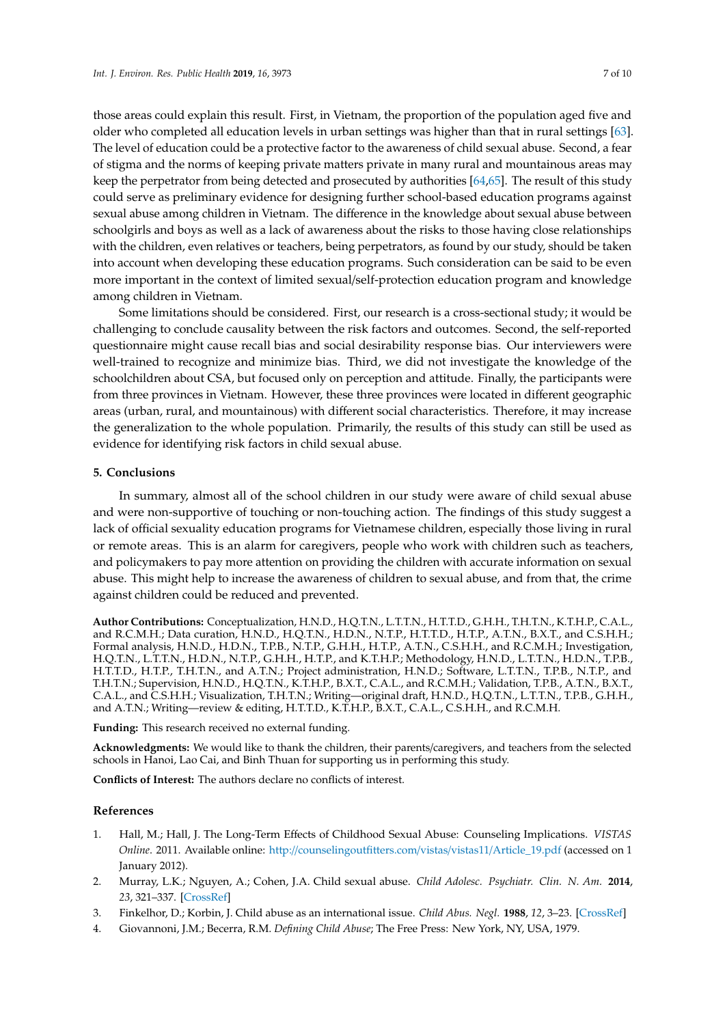those areas could explain this result. First, in Vietnam, the proportion of the population aged five and older who completed all education levels in urban settings was higher than that in rural settings [\[63\]](#page-9-11). The level of education could be a protective factor to the awareness of child sexual abuse. Second, a fear of stigma and the norms of keeping private matters private in many rural and mountainous areas may keep the perpetrator from being detected and prosecuted by authorities [\[64](#page-9-12)[,65\]](#page-9-13). The result of this study could serve as preliminary evidence for designing further school-based education programs against sexual abuse among children in Vietnam. The difference in the knowledge about sexual abuse between schoolgirls and boys as well as a lack of awareness about the risks to those having close relationships with the children, even relatives or teachers, being perpetrators, as found by our study, should be taken into account when developing these education programs. Such consideration can be said to be even more important in the context of limited sexual/self-protection education program and knowledge among children in Vietnam.

Some limitations should be considered. First, our research is a cross-sectional study; it would be challenging to conclude causality between the risk factors and outcomes. Second, the self-reported questionnaire might cause recall bias and social desirability response bias. Our interviewers were well-trained to recognize and minimize bias. Third, we did not investigate the knowledge of the schoolchildren about CSA, but focused only on perception and attitude. Finally, the participants were from three provinces in Vietnam. However, these three provinces were located in different geographic areas (urban, rural, and mountainous) with different social characteristics. Therefore, it may increase the generalization to the whole population. Primarily, the results of this study can still be used as evidence for identifying risk factors in child sexual abuse.

# **5. Conclusions**

In summary, almost all of the school children in our study were aware of child sexual abuse and were non-supportive of touching or non-touching action. The findings of this study suggest a lack of official sexuality education programs for Vietnamese children, especially those living in rural or remote areas. This is an alarm for caregivers, people who work with children such as teachers, and policymakers to pay more attention on providing the children with accurate information on sexual abuse. This might help to increase the awareness of children to sexual abuse, and from that, the crime against children could be reduced and prevented.

**Author Contributions:** Conceptualization, H.N.D., H.Q.T.N., L.T.T.N., H.T.T.D., G.H.H., T.H.T.N., K.T.H.P., C.A.L., and R.C.M.H.; Data curation, H.N.D., H.Q.T.N., H.D.N., N.T.P., H.T.T.D., H.T.P., A.T.N., B.X.T., and C.S.H.H.; Formal analysis, H.N.D., H.D.N., T.P.B., N.T.P., G.H.H., H.T.P., A.T.N., C.S.H.H., and R.C.M.H.; Investigation, H.Q.T.N., L.T.T.N., H.D.N., N.T.P., G.H.H., H.T.P., and K.T.H.P.; Methodology, H.N.D., L.T.T.N., H.D.N., T.P.B., H.T.T.D., H.T.P., T.H.T.N., and A.T.N.; Project administration, H.N.D.; Software, L.T.T.N., T.P.B., N.T.P., and T.H.T.N.; Supervision, H.N.D., H.Q.T.N., K.T.H.P., B.X.T., C.A.L., and R.C.M.H.; Validation, T.P.B., A.T.N., B.X.T., C.A.L., and C.S.H.H.; Visualization, T.H.T.N.; Writing—original draft, H.N.D., H.Q.T.N., L.T.T.N., T.P.B., G.H.H., and A.T.N.; Writing—review & editing, H.T.T.D., K.T.H.P., B.X.T., C.A.L., C.S.H.H., and R.C.M.H.

**Funding:** This research received no external funding.

**Acknowledgments:** We would like to thank the children, their parents/caregivers, and teachers from the selected schools in Hanoi, Lao Cai, and Binh Thuan for supporting us in performing this study.

**Conflicts of Interest:** The authors declare no conflicts of interest.

## **References**

- <span id="page-6-0"></span>1. Hall, M.; Hall, J. The Long-Term Effects of Childhood Sexual Abuse: Counseling Implications. *VISTAS Online*. 2011. Available online: http://[counselingoutfitters.com](http://counselingoutfitters.com/vistas/vistas11/Article_19.pdf)/vistas/vistas11/Article\_19.pdf (accessed on 1 January 2012).
- <span id="page-6-1"></span>2. Murray, L.K.; Nguyen, A.; Cohen, J.A. Child sexual abuse. *Child Adolesc. Psychiatr. Clin. N. Am.* **2014**, *23*, 321–337. [\[CrossRef\]](http://dx.doi.org/10.1016/j.chc.2014.01.003)
- <span id="page-6-2"></span>3. Finkelhor, D.; Korbin, J. Child abuse as an international issue. *Child Abus. Negl.* **1988**, *12*, 3–23. [\[CrossRef\]](http://dx.doi.org/10.1016/0145-2134(88)90003-8)
- 4. Giovannoni, J.M.; Becerra, R.M. *Defining Child Abuse*; The Free Press: New York, NY, USA, 1979.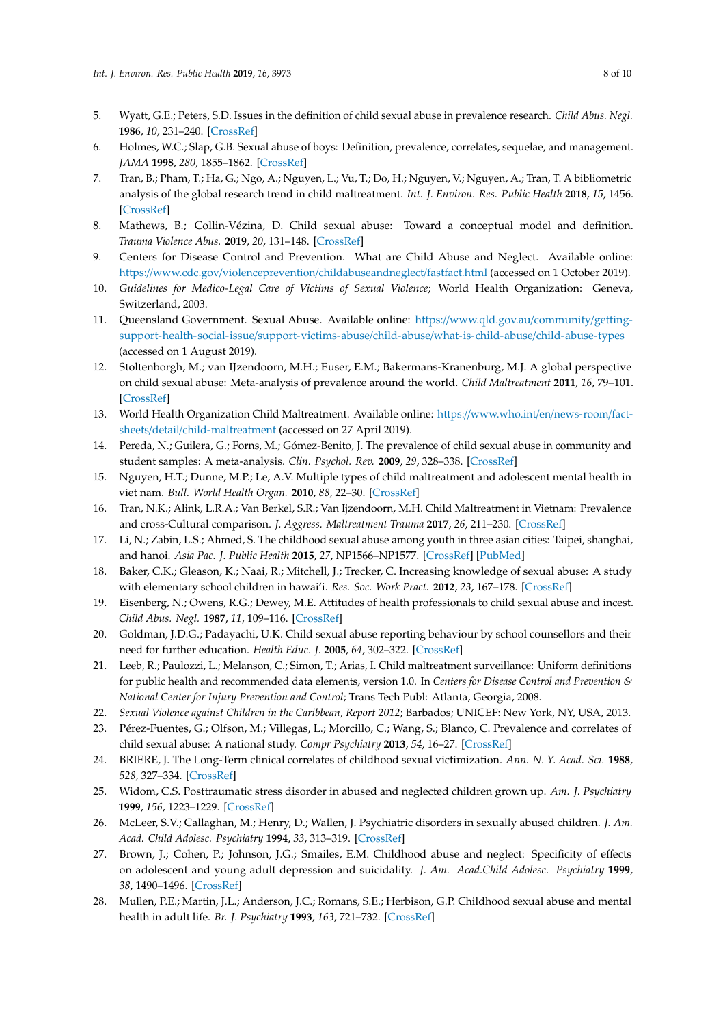- 5. Wyatt, G.E.; Peters, S.D. Issues in the definition of child sexual abuse in prevalence research. *Child Abus. Negl.* **1986**, *10*, 231–240. [\[CrossRef\]](http://dx.doi.org/10.1016/0145-2134(86)90084-0)
- 6. Holmes, W.C.; Slap, G.B. Sexual abuse of boys: Definition, prevalence, correlates, sequelae, and management. *JAMA* **1998**, *280*, 1855–1862. [\[CrossRef\]](http://dx.doi.org/10.1001/jama.280.21.1855)
- <span id="page-7-0"></span>7. Tran, B.; Pham, T.; Ha, G.; Ngo, A.; Nguyen, L.; Vu, T.; Do, H.; Nguyen, V.; Nguyen, A.; Tran, T. A bibliometric analysis of the global research trend in child maltreatment. *Int. J. Environ. Res. Public Health* **2018**, *15*, 1456. [\[CrossRef\]](http://dx.doi.org/10.3390/ijerph15071456)
- <span id="page-7-1"></span>8. Mathews, B.; Collin-Vézina, D. Child sexual abuse: Toward a conceptual model and definition. *Trauma Violence Abus.* **2019**, *20*, 131–148. [\[CrossRef\]](http://dx.doi.org/10.1177/1524838017738726)
- <span id="page-7-2"></span>9. Centers for Disease Control and Prevention. What are Child Abuse and Neglect. Available online: https://www.cdc.gov/violenceprevention/[childabuseandneglect](https://www.cdc.gov/violenceprevention/childabuseandneglect/fastfact.html)/fastfact.html (accessed on 1 October 2019).
- <span id="page-7-4"></span>10. *Guidelines for Medico-Legal Care of Victims of Sexual Violence*; World Health Organization: Geneva, Switzerland, 2003.
- <span id="page-7-3"></span>11. Queensland Government. Sexual Abuse. Available online: https://[www.qld.gov.au](https://www.qld.gov.au/community/getting-support-health-social-issue/support-victims-abuse/child-abuse/what-is-child-abuse/child-abuse-types)/community/getting[support-health-social-issue](https://www.qld.gov.au/community/getting-support-health-social-issue/support-victims-abuse/child-abuse/what-is-child-abuse/child-abuse-types)/support-victims-abuse/child-abuse/what-is-child-abuse/child-abuse-types (accessed on 1 August 2019).
- <span id="page-7-5"></span>12. Stoltenborgh, M.; van IJzendoorn, M.H.; Euser, E.M.; Bakermans-Kranenburg, M.J. A global perspective on child sexual abuse: Meta-analysis of prevalence around the world. *Child Maltreatment* **2011**, *16*, 79–101. [\[CrossRef\]](http://dx.doi.org/10.1177/1077559511403920)
- <span id="page-7-6"></span>13. World Health Organization Child Maltreatment. Available online: https://[www.who.int](https://www.who.int/en/news-room/fact-sheets/detail/child-maltreatment)/en/news-room/factsheets/detail/[child-maltreatment](https://www.who.int/en/news-room/fact-sheets/detail/child-maltreatment) (accessed on 27 April 2019).
- <span id="page-7-7"></span>14. Pereda, N.; Guilera, G.; Forns, M.; Gómez-Benito, J. The prevalence of child sexual abuse in community and student samples: A meta-analysis. *Clin. Psychol. Rev.* **2009**, *29*, 328–338. [\[CrossRef\]](http://dx.doi.org/10.1016/j.cpr.2009.02.007)
- <span id="page-7-8"></span>15. Nguyen, H.T.; Dunne, M.P.; Le, A.V. Multiple types of child maltreatment and adolescent mental health in viet nam. *Bull. World Health Organ.* **2010**, *88*, 22–30. [\[CrossRef\]](http://dx.doi.org/10.2471/BLT.08-060061)
- <span id="page-7-9"></span>16. Tran, N.K.; Alink, L.R.A.; Van Berkel, S.R.; Van Ijzendoorn, M.H. Child Maltreatment in Vietnam: Prevalence and cross-Cultural comparison. *J. Aggress. Maltreatment Trauma* **2017**, *26*, 211–230. [\[CrossRef\]](http://dx.doi.org/10.1080/10926771.2016.1250851)
- <span id="page-7-10"></span>17. Li, N.; Zabin, L.S.; Ahmed, S. The childhood sexual abuse among youth in three asian cities: Taipei, shanghai, and hanoi. *Asia Pac. J. Public Health* **2015**, *27*, NP1566–NP1577. [\[CrossRef\]](http://dx.doi.org/10.1177/1010539512471968) [\[PubMed\]](http://www.ncbi.nlm.nih.gov/pubmed/23343644)
- <span id="page-7-11"></span>18. Baker, C.K.; Gleason, K.; Naai, R.; Mitchell, J.; Trecker, C. Increasing knowledge of sexual abuse: A study with elementary school children in hawai'i. *Res. Soc. Work Pract.* **2012**, *23*, 167–178. [\[CrossRef\]](http://dx.doi.org/10.1177/1049731512468796)
- <span id="page-7-12"></span>19. Eisenberg, N.; Owens, R.G.; Dewey, M.E. Attitudes of health professionals to child sexual abuse and incest. *Child Abus. Negl.* **1987**, *11*, 109–116. [\[CrossRef\]](http://dx.doi.org/10.1016/0145-2134(87)90039-1)
- 20. Goldman, J.D.G.; Padayachi, U.K. Child sexual abuse reporting behaviour by school counsellors and their need for further education. *Health Educ. J.* **2005**, *64*, 302–322. [\[CrossRef\]](http://dx.doi.org/10.1177/001789690506400403)
- <span id="page-7-13"></span>21. Leeb, R.; Paulozzi, L.; Melanson, C.; Simon, T.; Arias, I. Child maltreatment surveillance: Uniform definitions for public health and recommended data elements, version 1.0. In *Centers for Disease Control and Prevention & National Center for Injury Prevention and Control*; Trans Tech Publ: Atlanta, Georgia, 2008.
- <span id="page-7-14"></span>22. *Sexual Violence against Children in the Caribbean, Report 2012*; Barbados; UNICEF: New York, NY, USA, 2013.
- <span id="page-7-15"></span>23. Pérez-Fuentes, G.; Olfson, M.; Villegas, L.; Morcillo, C.; Wang, S.; Blanco, C. Prevalence and correlates of child sexual abuse: A national study. *Compr Psychiatry* **2013**, *54*, 16–27. [\[CrossRef\]](http://dx.doi.org/10.1016/j.comppsych.2012.05.010)
- <span id="page-7-16"></span>24. BRIERE, J. The Long-Term clinical correlates of childhood sexual victimization. *Ann. N. Y. Acad. Sci.* **1988**, *528*, 327–334. [\[CrossRef\]](http://dx.doi.org/10.1111/j.1749-6632.1988.tb50874.x)
- <span id="page-7-17"></span>25. Widom, C.S. Posttraumatic stress disorder in abused and neglected children grown up. *Am. J. Psychiatry* **1999**, *156*, 1223–1229. [\[CrossRef\]](http://dx.doi.org/10.1176/ajp.156.8.1223)
- <span id="page-7-18"></span>26. McLeer, S.V.; Callaghan, M.; Henry, D.; Wallen, J. Psychiatric disorders in sexually abused children. *J. Am. Acad. Child Adolesc. Psychiatry* **1994**, *33*, 313–319. [\[CrossRef\]](http://dx.doi.org/10.1097/00004583-199403000-00003)
- <span id="page-7-19"></span>27. Brown, J.; Cohen, P.; Johnson, J.G.; Smailes, E.M. Childhood abuse and neglect: Specificity of effects on adolescent and young adult depression and suicidality. *J. Am. Acad.Child Adolesc. Psychiatry* **1999**, *38*, 1490–1496. [\[CrossRef\]](http://dx.doi.org/10.1097/00004583-199912000-00009)
- <span id="page-7-20"></span>28. Mullen, P.E.; Martin, J.L.; Anderson, J.C.; Romans, S.E.; Herbison, G.P. Childhood sexual abuse and mental health in adult life. *Br. J. Psychiatry* **1993**, *163*, 721–732. [\[CrossRef\]](http://dx.doi.org/10.1192/bjp.163.6.721)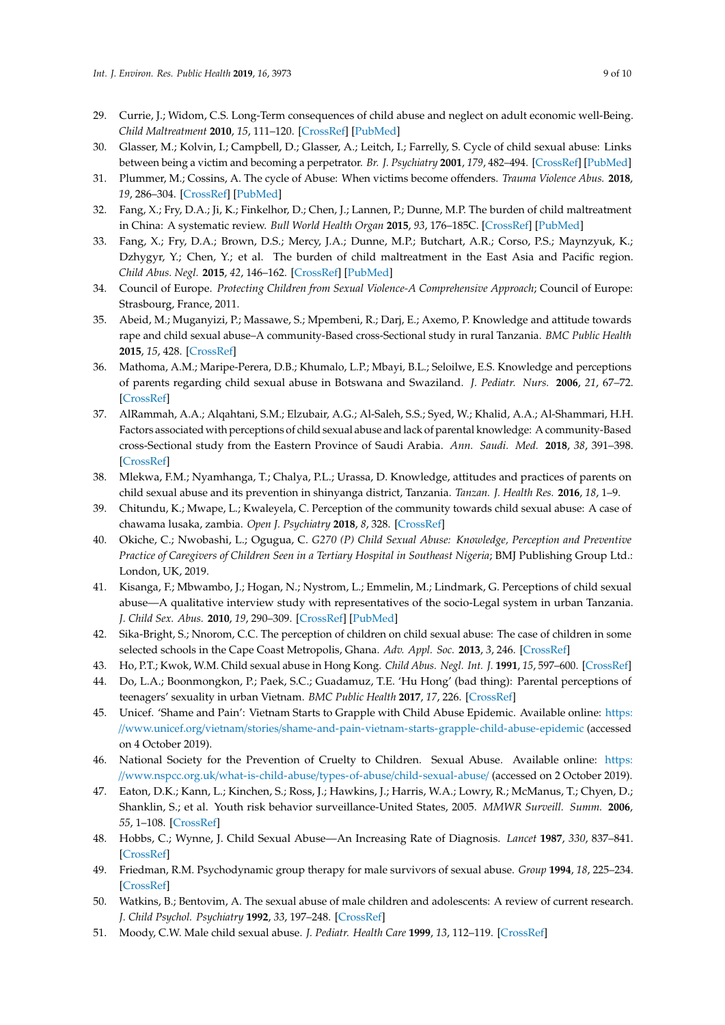- <span id="page-8-0"></span>29. Currie, J.; Widom, C.S. Long-Term consequences of child abuse and neglect on adult economic well-Being. *Child Maltreatment* **2010**, *15*, 111–120. [\[CrossRef\]](http://dx.doi.org/10.1177/1077559509355316) [\[PubMed\]](http://www.ncbi.nlm.nih.gov/pubmed/21908477)
- <span id="page-8-1"></span>30. Glasser, M.; Kolvin, I.; Campbell, D.; Glasser, A.; Leitch, I.; Farrelly, S. Cycle of child sexual abuse: Links between being a victim and becoming a perpetrator. *Br. J. Psychiatry* **2001**, *179*, 482–494. [\[CrossRef\]](http://dx.doi.org/10.1192/bjp.179.6.482) [\[PubMed\]](http://www.ncbi.nlm.nih.gov/pubmed/11731348)
- <span id="page-8-2"></span>31. Plummer, M.; Cossins, A. The cycle of Abuse: When victims become offenders. *Trauma Violence Abus.* **2018**, *19*, 286–304. [\[CrossRef\]](http://dx.doi.org/10.1177/1524838016659487) [\[PubMed\]](http://www.ncbi.nlm.nih.gov/pubmed/27436859)
- <span id="page-8-3"></span>32. Fang, X.; Fry, D.A.; Ji, K.; Finkelhor, D.; Chen, J.; Lannen, P.; Dunne, M.P. The burden of child maltreatment in China: A systematic review. *Bull World Health Organ* **2015**, *93*, 176–185C. [\[CrossRef\]](http://dx.doi.org/10.2471/BLT.14.140970) [\[PubMed\]](http://www.ncbi.nlm.nih.gov/pubmed/25838613)
- <span id="page-8-4"></span>33. Fang, X.; Fry, D.A.; Brown, D.S.; Mercy, J.A.; Dunne, M.P.; Butchart, A.R.; Corso, P.S.; Maynzyuk, K.; Dzhygyr, Y.; Chen, Y.; et al. The burden of child maltreatment in the East Asia and Pacific region. *Child Abus. Negl.* **2015**, *42*, 146–162. [\[CrossRef\]](http://dx.doi.org/10.1016/j.chiabu.2015.02.012) [\[PubMed\]](http://www.ncbi.nlm.nih.gov/pubmed/25757367)
- <span id="page-8-5"></span>34. Council of Europe. *Protecting Children from Sexual Violence-A Comprehensive Approach*; Council of Europe: Strasbourg, France, 2011.
- <span id="page-8-6"></span>35. Abeid, M.; Muganyizi, P.; Massawe, S.; Mpembeni, R.; Darj, E.; Axemo, P. Knowledge and attitude towards rape and child sexual abuse–A community-Based cross-Sectional study in rural Tanzania. *BMC Public Health* **2015**, *15*, 428. [\[CrossRef\]](http://dx.doi.org/10.1186/s12889-015-1757-7)
- <span id="page-8-7"></span>36. Mathoma, A.M.; Maripe-Perera, D.B.; Khumalo, L.P.; Mbayi, B.L.; Seloilwe, E.S. Knowledge and perceptions of parents regarding child sexual abuse in Botswana and Swaziland. *J. Pediatr. Nurs.* **2006**, *21*, 67–72. [\[CrossRef\]](http://dx.doi.org/10.1016/j.pedn.2005.08.002)
- <span id="page-8-8"></span>37. AlRammah, A.A.; Alqahtani, S.M.; Elzubair, A.G.; Al-Saleh, S.S.; Syed, W.; Khalid, A.A.; Al-Shammari, H.H. Factors associated with perceptions of child sexual abuse and lack of parental knowledge: A community-Based cross-Sectional study from the Eastern Province of Saudi Arabia. *Ann. Saudi. Med.* **2018**, *38*, 391–398. [\[CrossRef\]](http://dx.doi.org/10.5144/0256-4947.2018.391)
- <span id="page-8-9"></span>38. Mlekwa, F.M.; Nyamhanga, T.; Chalya, P.L.; Urassa, D. Knowledge, attitudes and practices of parents on child sexual abuse and its prevention in shinyanga district, Tanzania. *Tanzan. J. Health Res.* **2016**, *18*, 1–9.
- <span id="page-8-10"></span>39. Chitundu, K.; Mwape, L.; Kwaleyela, C. Perception of the community towards child sexual abuse: A case of chawama lusaka, zambia. *Open J. Psychiatry* **2018**, *8*, 328. [\[CrossRef\]](http://dx.doi.org/10.4236/ojpsych.2018.83026)
- <span id="page-8-11"></span>40. Okiche, C.; Nwobashi, L.; Ogugua, C. *G270 (P) Child Sexual Abuse: Knowledge, Perception and Preventive Practice of Caregivers of Children Seen in a Tertiary Hospital in Southeast Nigeria*; BMJ Publishing Group Ltd.: London, UK, 2019.
- <span id="page-8-12"></span>41. Kisanga, F.; Mbwambo, J.; Hogan, N.; Nystrom, L.; Emmelin, M.; Lindmark, G. Perceptions of child sexual abuse—A qualitative interview study with representatives of the socio-Legal system in urban Tanzania. *J. Child Sex. Abus.* **2010**, *19*, 290–309. [\[CrossRef\]](http://dx.doi.org/10.1080/10538711003789031) [\[PubMed\]](http://www.ncbi.nlm.nih.gov/pubmed/20509078)
- <span id="page-8-13"></span>42. Sika-Bright, S.; Nnorom, C.C. The perception of children on child sexual abuse: The case of children in some selected schools in the Cape Coast Metropolis, Ghana. *Adv. Appl. Soc.* **2013**, *3*, 246. [\[CrossRef\]](http://dx.doi.org/10.4236/aasoci.2013.36033)
- <span id="page-8-14"></span>43. Ho, P.T.; Kwok, W.M. Child sexual abuse in Hong Kong. *Child Abus. Negl. Int. J.* **1991**, *15*, 597–600. [\[CrossRef\]](http://dx.doi.org/10.1016/0145-2134(91)90044-E)
- <span id="page-8-15"></span>44. Do, L.A.; Boonmongkon, P.; Paek, S.C.; Guadamuz, T.E. 'Hu Hong' (bad thing): Parental perceptions of teenagers' sexuality in urban Vietnam. *BMC Public Health* **2017**, *17*, 226. [\[CrossRef\]](http://dx.doi.org/10.1186/s12889-017-4133-y)
- <span id="page-8-16"></span>45. Unicef. 'Shame and Pain': Vietnam Starts to Grapple with Child Abuse Epidemic. Available online: [https:](https://www.unicef.org/vietnam/stories/shame-and-pain-vietnam-starts-grapple-child-abuse-epidemic) //www.unicef.org/vietnam/stories/[shame-and-pain-vietnam-starts-grapple-child-abuse-epidemic](https://www.unicef.org/vietnam/stories/shame-and-pain-vietnam-starts-grapple-child-abuse-epidemic) (accessed on 4 October 2019).
- <span id="page-8-17"></span>46. National Society for the Prevention of Cruelty to Children. Sexual Abuse. Available online: [https:](https://www.nspcc.org.uk/what-is-child-abuse/types-of-abuse/child-sexual-abuse/) //www.nspcc.org.uk/[what-is-child-abuse](https://www.nspcc.org.uk/what-is-child-abuse/types-of-abuse/child-sexual-abuse/)/types-of-abuse/child-sexual-abuse/ (accessed on 2 October 2019).
- <span id="page-8-18"></span>47. Eaton, D.K.; Kann, L.; Kinchen, S.; Ross, J.; Hawkins, J.; Harris, W.A.; Lowry, R.; McManus, T.; Chyen, D.; Shanklin, S.; et al. Youth risk behavior surveillance-United States, 2005. *MMWR Surveill. Summ.* **2006**, *55*, 1–108. [\[CrossRef\]](http://dx.doi.org/10.1111/j.1746-1561.2006.00127.x)
- <span id="page-8-19"></span>48. Hobbs, C.; Wynne, J. Child Sexual Abuse—An Increasing Rate of Diagnosis. *Lancet* **1987**, *330*, 837–841. [\[CrossRef\]](http://dx.doi.org/10.1016/S0140-6736(87)91025-7)
- <span id="page-8-20"></span>49. Friedman, R.M. Psychodynamic group therapy for male survivors of sexual abuse. *Group* **1994**, *18*, 225–234. [\[CrossRef\]](http://dx.doi.org/10.1007/BF01458099)
- <span id="page-8-21"></span>50. Watkins, B.; Bentovim, A. The sexual abuse of male children and adolescents: A review of current research. *J. Child Psychol. Psychiatry* **1992**, *33*, 197–248. [\[CrossRef\]](http://dx.doi.org/10.1111/j.1469-7610.1992.tb00862.x)
- <span id="page-8-22"></span>51. Moody, C.W. Male child sexual abuse. *J. Pediatr. Health Care* **1999**, *13*, 112–119. [\[CrossRef\]](http://dx.doi.org/10.1016/S0891-5245(99)90072-X)